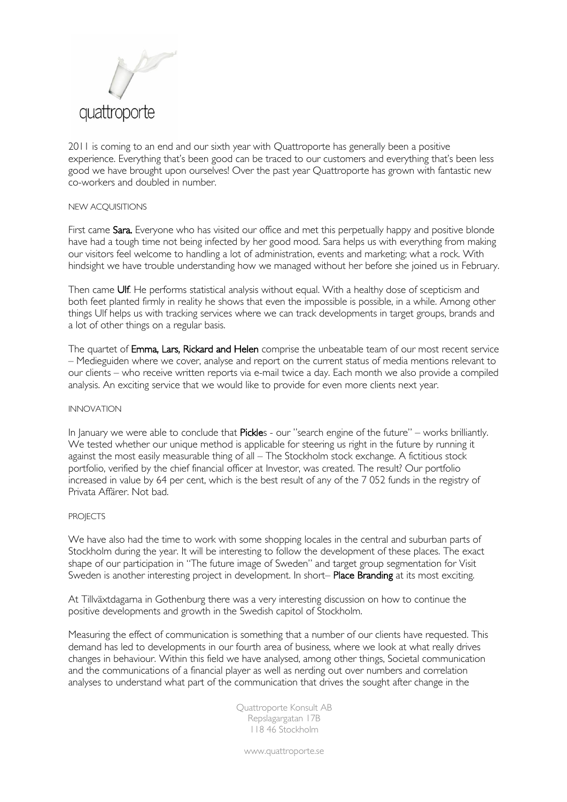

2011 is coming to an end and our sixth year with Quattroporte has generally been a positive experience. Everything that's been good can be traced to our customers and everything that's been less good we have brought upon ourselves! Over the past year Quattroporte has grown with fantastic new co-workers and doubled in number.

## NEW ACQUISITIONS

First came Sara. Everyone who has visited our office and met this perpetually happy and positive blonde have had a tough time not being infected by her good mood. Sara helps us with everything from making our visitors feel welcome to handling a lot of administration, events and marketing; what a rock. With hindsight we have trouble understanding how we managed without her before she joined us in February.

Then came Ulf. He performs statistical analysis without equal. With a healthy dose of scepticism and both feet planted firmly in reality he shows that even the impossible is possible, in a while. Among other things Ulf helps us with tracking services where we can track developments in target groups, brands and a lot of other things on a regular basis.

The quartet of Emma, Lars, Rickard and Helen comprise the unbeatable team of our most recent service – Medieguiden where we cover, analyse and report on the current status of media mentions relevant to our clients – who receive written reports via e-mail twice a day. Each month we also provide a compiled analysis. An exciting service that we would like to provide for even more clients next year.

## INNOVATION

In January we were able to conclude that Pickles - our "search engine of the future" – works brilliantly. We tested whether our unique method is applicable for steering us right in the future by running it against the most easily measurable thing of all – The Stockholm stock exchange. A fictitious stock portfolio, verified by the chief financial officer at Investor, was created. The result? Our portfolio increased in value by 64 per cent, which is the best result of any of the 7 052 funds in the registry of Privata Affärer. Not bad.

## **PROJECTS**

We have also had the time to work with some shopping locales in the central and suburban parts of Stockholm during the year. It will be interesting to follow the development of these places. The exact shape of our participation in "The future image of Sweden" and target group segmentation for Visit Sweden is another interesting project in development. In short- Place Branding at its most exciting.

At Tillväxtdagarna in Gothenburg there was a very interesting discussion on how to continue the positive developments and growth in the Swedish capitol of Stockholm.

Measuring the effect of communication is something that a number of our clients have requested. This demand has led to developments in our fourth area of business, where we look at what really drives changes in behaviour. Within this field we have analysed, among other things, Societal communication and the communications of a financial player as well as nerding out over numbers and correlation analyses to understand what part of the communication that drives the sought after change in the

> Quattroporte Konsult AB Repslagargatan 17B 118 46 Stockholm

www.quattroporte.se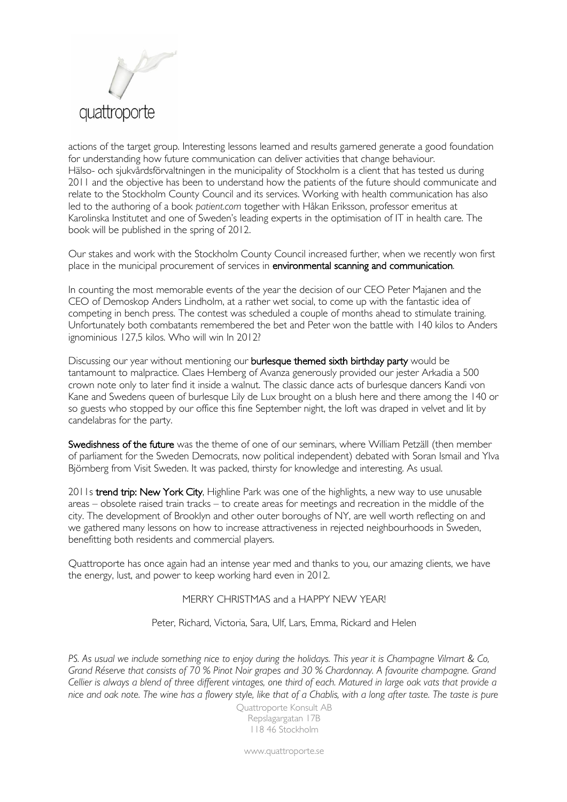

actions of the target group. Interesting lessons learned and results garnered generate a good foundation for understanding how future communication can deliver activities that change behaviour. Hälso- och sjukvårdsförvaltningen in the municipality of Stockholm is a client that has tested us during 2011 and the objective has been to understand how the patients of the future should communicate and relate to the Stockholm County Council and its services. Working with health communication has also led to the authoring of a book *patient.com* together with Håkan Eriksson, professor emeritus at Karolinska Institutet and one of Sweden's leading experts in the optimisation of IT in health care. The book will be published in the spring of 2012.

Our stakes and work with the Stockholm County Council increased further, when we recently won first place in the municipal procurement of services in environmental scanning and communication.

In counting the most memorable events of the year the decision of our CEO Peter Majanen and the CEO of Demoskop Anders Lindholm, at a rather wet social, to come up with the fantastic idea of competing in bench press. The contest was scheduled a couple of months ahead to stimulate training. Unfortunately both combatants remembered the bet and Peter won the battle with 140 kilos to Anders ignominious 127,5 kilos. Who will win In 2012?

Discussing our year without mentioning our **burlesque themed sixth birthday party** would be tantamount to malpractice. Claes Hemberg of Avanza generously provided our jester Arkadia a 500 crown note only to later find it inside a walnut. The classic dance acts of burlesque dancers Kandi von Kane and Swedens queen of burlesque Lily de Lux brought on a blush here and there among the 140 or so guests who stopped by our office this fine September night, the loft was draped in velvet and lit by candelabras for the party.

Swedishness of the future was the theme of one of our seminars, where William Petzäll (then member of parliament for the Sweden Democrats, now political independent) debated with Soran Ismail and Ylva Björnberg from Visit Sweden. It was packed, thirsty for knowledge and interesting. As usual.

2011s trend trip: New York City, Highline Park was one of the highlights, a new way to use unusable areas – obsolete raised train tracks – to create areas for meetings and recreation in the middle of the city. The development of Brooklyn and other outer boroughs of NY, are well worth reflecting on and we gathered many lessons on how to increase attractiveness in rejected neighbourhoods in Sweden, benefitting both residents and commercial players.

Quattroporte has once again had an intense year med and thanks to you, our amazing clients, we have the energy, lust, and power to keep working hard even in 2012.

## MERRY CHRISTMAS and a HAPPY NEW YEAR!

Peter, Richard, Victoria, Sara, Ulf, Lars, Emma, Rickard and Helen

*PS. As usual we include something nice to enjoy during the holidays. This year it is Champagne Vilmart & Co, Grand Réserve that consists of 70 % Pinot Noir grapes and 30 % Chardonnay. A favourite champagne. Grand Cellier is always a blend of three different vintages, one third of each. Matured in large oak vats that provide a nice and oak note. The wine has a flowery style, like that of a Chablis, with a long after taste. The taste is pure* 

> Quattroporte Konsult AB Repslagargatan 17B 118 46 Stockholm

www.quattroporte.se